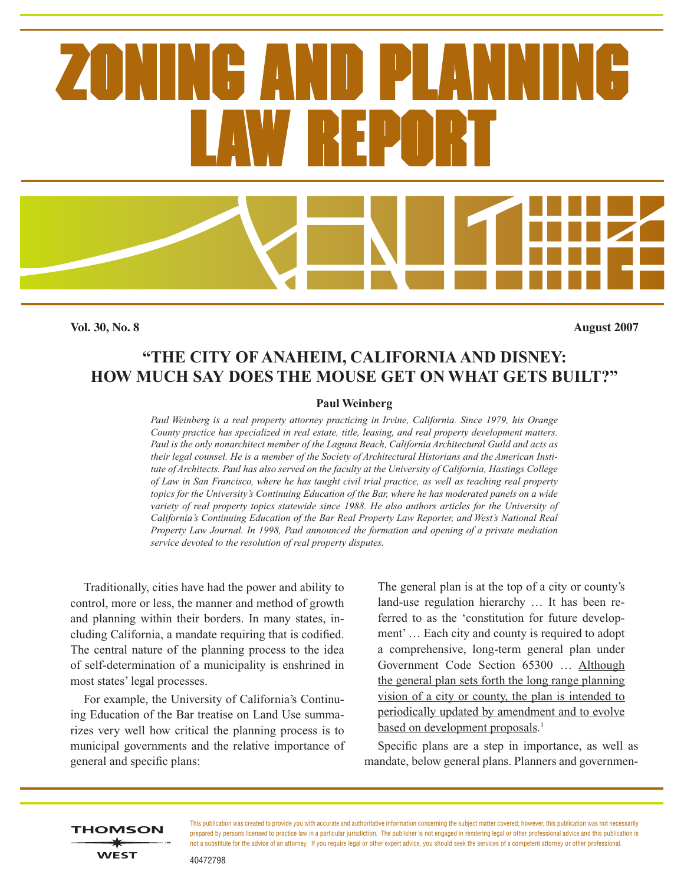**Vol. 30, No. 8 August 2007**

# **"THE CITY OF ANAHEIM, CALIFORNIA AND DISNEY: HOW MUCH SAY DOES THE MOUSE GET ON WHAT GETS BUILT?"**

#### **Paul Weinberg**

*Paul Weinberg is a real property attorney practicing in Irvine, California. Since 1979, his Orange County practice has specialized in real estate, title, leasing, and real property development matters. Paul is the only nonarchitect member of the Laguna Beach, California Architectural Guild and acts as their legal counsel. He is a member of the Society of Architectural Historians and the American Institute of Architects. Paul has also served on the faculty at the University of California, Hastings College of Law in San Francisco, where he has taught civil trial practice, as well as teaching real property topics for the University's Continuing Education of the Bar, where he has moderated panels on a wide variety of real property topics statewide since 1988. He also authors articles for the University of California's Continuing Education of the Bar Real Property Law Reporter, and West's National Real Property Law Journal. In 1998, Paul announced the formation and opening of a private mediation service devoted to the resolution of real property disputes.*

Traditionally, cities have had the power and ability to control, more or less, the manner and method of growth and planning within their borders. In many states, including California, a mandate requiring that is codified. The central nature of the planning process to the idea of self-determination of a municipality is enshrined in most states' legal processes.

For example, the University of California's Continuing Education of the Bar treatise on Land Use summarizes very well how critical the planning process is to municipal governments and the relative importance of general and specific plans:

The general plan is at the top of a city or county's land-use regulation hierarchy … It has been referred to as the 'constitution for future development' … Each city and county is required to adopt a comprehensive, long-term general plan under Government Code Section 65300 … Although the general plan sets forth the long range planning vision of a city or county, the plan is intended to periodically updated by amendment and to evolve based on development proposals.<sup>1</sup>

Specific plans are a step in importance, as well as mandate, below general plans. Planners and governmen-

## **THOMSON WEST**

This publication was created to provide you with accurate and authoritative information concerning the subject matter covered; however, this publication was not necessarily prepared by persons licensed to practice law in a particular jurisdiction. The publisher is not engaged in rendering legal or other professional advice and this publication is not a substitute for the advice of an attorney. If you require legal or other expert advice, you should seek the services of a competent attorney or other professional.

40472798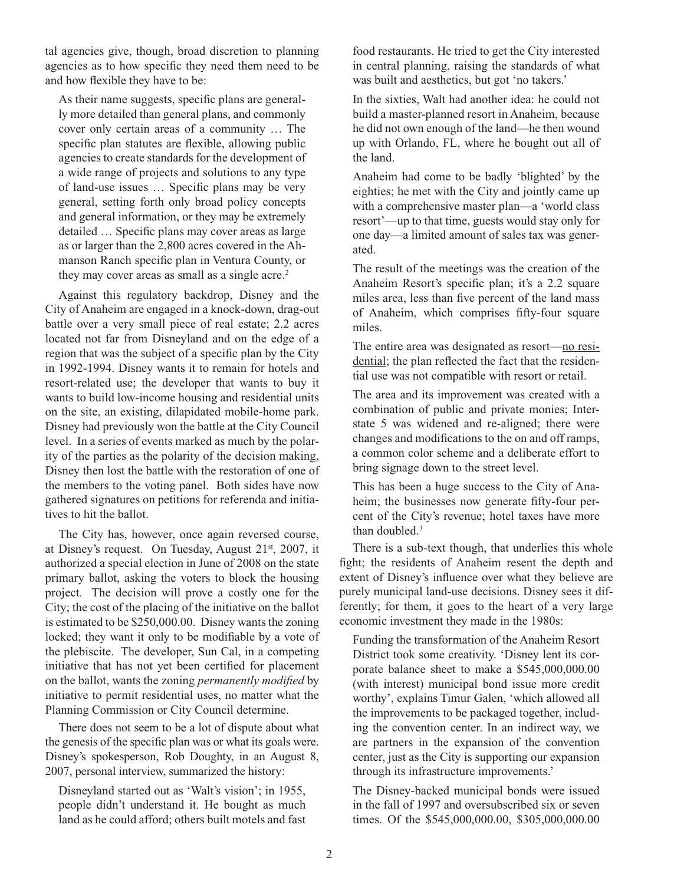tal agencies give, though, broad discretion to planning agencies as to how specific they need them need to be and how flexible they have to be:

As their name suggests, specific plans are generally more detailed than general plans, and commonly cover only certain areas of a community … The specific plan statutes are flexible, allowing public agencies to create standards for the development of a wide range of projects and solutions to any type of land-use issues … Specific plans may be very general, setting forth only broad policy concepts and general information, or they may be extremely detailed … Specific plans may cover areas as large as or larger than the 2,800 acres covered in the Ahmanson Ranch specific plan in Ventura County, or they may cover areas as small as a single acre. $2$ 

Against this regulatory backdrop, Disney and the City of Anaheim are engaged in a knock-down, drag-out battle over a very small piece of real estate; 2.2 acres located not far from Disneyland and on the edge of a region that was the subject of a specific plan by the City in 1992-1994. Disney wants it to remain for hotels and resort-related use; the developer that wants to buy it wants to build low-income housing and residential units on the site, an existing, dilapidated mobile-home park. Disney had previously won the battle at the City Council level. In a series of events marked as much by the polarity of the parties as the polarity of the decision making, Disney then lost the battle with the restoration of one of the members to the voting panel. Both sides have now gathered signatures on petitions for referenda and initiatives to hit the ballot.

The City has, however, once again reversed course, at Disney's request. On Tuesday, August  $21<sup>st</sup>$ ,  $2007$ , it authorized a special election in June of 2008 on the state primary ballot, asking the voters to block the housing project. The decision will prove a costly one for the City; the cost of the placing of the initiative on the ballot is estimated to be \$250,000.00. Disney wants the zoning locked; they want it only to be modifiable by a vote of the plebiscite. The developer, Sun Cal, in a competing initiative that has not yet been certified for placement on the ballot, wants the zoning *permanently modified* by initiative to permit residential uses, no matter what the Planning Commission or City Council determine.

There does not seem to be a lot of dispute about what the genesis of the specific plan was or what its goals were. Disney's spokesperson, Rob Doughty, in an August 8, 2007, personal interview, summarized the history:

Disneyland started out as 'Walt's vision'; in 1955, people didn't understand it. He bought as much land as he could afford; others built motels and fast food restaurants. He tried to get the City interested in central planning, raising the standards of what was built and aesthetics, but got 'no takers.'

In the sixties, Walt had another idea: he could not build a master-planned resort in Anaheim, because he did not own enough of the land—he then wound up with Orlando, FL, where he bought out all of the land.

Anaheim had come to be badly 'blighted' by the eighties; he met with the City and jointly came up with a comprehensive master plan—a 'world class resort'—up to that time, guests would stay only for one day—a limited amount of sales tax was generated.

The result of the meetings was the creation of the Anaheim Resort's specific plan; it's a 2.2 square miles area, less than five percent of the land mass of Anaheim, which comprises fifty-four square miles.

The entire area was designated as resort—no residential; the plan reflected the fact that the residential use was not compatible with resort or retail.

The area and its improvement was created with a combination of public and private monies; Interstate 5 was widened and re-aligned; there were changes and modifications to the on and off ramps, a common color scheme and a deliberate effort to bring signage down to the street level.

This has been a huge success to the City of Anaheim; the businesses now generate fifty-four percent of the City's revenue; hotel taxes have more than doubled. $3$ 

There is a sub-text though, that underlies this whole fight; the residents of Anaheim resent the depth and extent of Disney's influence over what they believe are purely municipal land-use decisions. Disney sees it differently; for them, it goes to the heart of a very large economic investment they made in the 1980s:

Funding the transformation of the Anaheim Resort District took some creativity. 'Disney lent its corporate balance sheet to make a \$545,000,000.00 (with interest) municipal bond issue more credit worthy', explains Timur Galen, 'which allowed all the improvements to be packaged together, including the convention center. In an indirect way, we are partners in the expansion of the convention center, just as the City is supporting our expansion through its infrastructure improvements.'

The Disney-backed municipal bonds were issued in the fall of 1997 and oversubscribed six or seven times. Of the \$545,000,000.00, \$305,000,000.00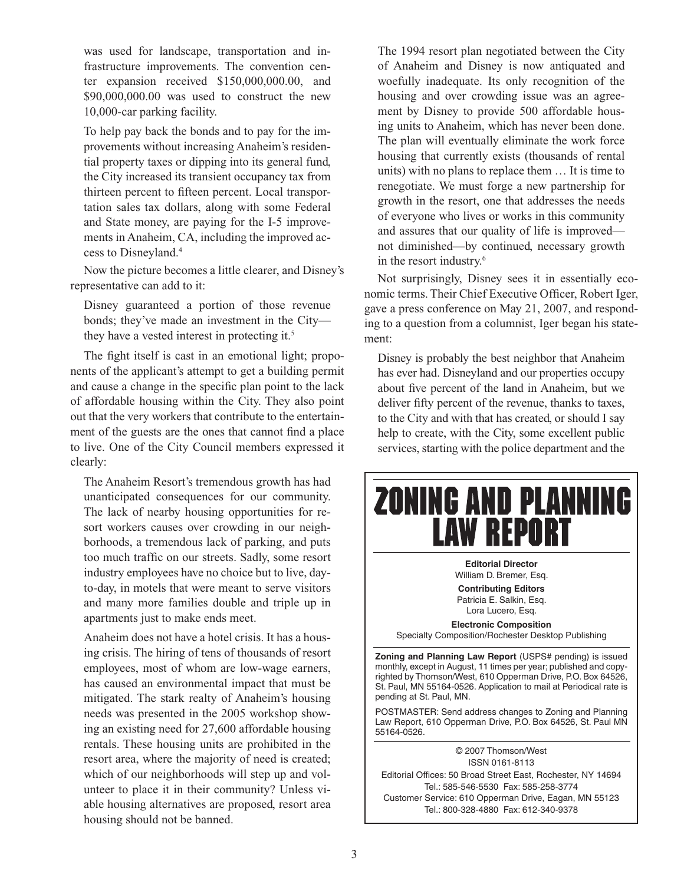was used for landscape, transportation and infrastructure improvements. The convention center expansion received \$150,000,000.00, and \$90,000,000.00 was used to construct the new 10,000-car parking facility.

To help pay back the bonds and to pay for the improvements without increasing Anaheim's residential property taxes or dipping into its general fund, the City increased its transient occupancy tax from thirteen percent to fifteen percent. Local transportation sales tax dollars, along with some Federal and State money, are paying for the I-5 improvements in Anaheim, CA, including the improved access to Disneyland.4

Now the picture becomes a little clearer, and Disney's representative can add to it:

Disney guaranteed a portion of those revenue bonds; they've made an investment in the City they have a vested interest in protecting it.<sup>5</sup>

The fight itself is cast in an emotional light; proponents of the applicant's attempt to get a building permit and cause a change in the specific plan point to the lack of affordable housing within the City. They also point out that the very workers that contribute to the entertainment of the guests are the ones that cannot find a place to live. One of the City Council members expressed it clearly:

The Anaheim Resort's tremendous growth has had unanticipated consequences for our community. The lack of nearby housing opportunities for resort workers causes over crowding in our neighborhoods, a tremendous lack of parking, and puts too much traffic on our streets. Sadly, some resort industry employees have no choice but to live, dayto-day, in motels that were meant to serve visitors and many more families double and triple up in apartments just to make ends meet.

Anaheim does not have a hotel crisis. It has a housing crisis. The hiring of tens of thousands of resort employees, most of whom are low-wage earners, has caused an environmental impact that must be mitigated. The stark realty of Anaheim's housing needs was presented in the 2005 workshop showing an existing need for 27,600 affordable housing rentals. These housing units are prohibited in the resort area, where the majority of need is created; which of our neighborhoods will step up and volunteer to place it in their community? Unless viable housing alternatives are proposed, resort area housing should not be banned.

The 1994 resort plan negotiated between the City of Anaheim and Disney is now antiquated and woefully inadequate. Its only recognition of the housing and over crowding issue was an agreement by Disney to provide 500 affordable housing units to Anaheim, which has never been done. The plan will eventually eliminate the work force housing that currently exists (thousands of rental units) with no plans to replace them … It is time to renegotiate. We must forge a new partnership for growth in the resort, one that addresses the needs of everyone who lives or works in this community and assures that our quality of life is improved not diminished—by continued, necessary growth in the resort industry.6

Not surprisingly, Disney sees it in essentially economic terms. Their Chief Executive Officer, Robert Iger, gave a press conference on May 21, 2007, and responding to a question from a columnist, Iger began his statement:

Disney is probably the best neighbor that Anaheim has ever had. Disneyland and our properties occupy about five percent of the land in Anaheim, but we deliver fifty percent of the revenue, thanks to taxes, to the City and with that has created, or should I say help to create, with the City, some excellent public services, starting with the police department and the

# **ZONING AND PLANNING LAW REPORT**

**Editorial Director** William D. Bremer, Esg. **Contributing Editors** Patricia E. Salkin, Esq. Lora Lucero, Esq.

**Electronic Composition** Specialty Composition/Rochester Desktop Publishing

**Zoning and Planning Law Report** (USPS# pending) is issued monthly, except in August, 11 times per year; published and copyrighted by Thomson/West, 610 Opperman Drive, P.O. Box 64526, St. Paul, MN 55164-0526. Application to mail at Periodical rate is pending at St. Paul, MN.

POSTMASTER: Send address changes to Zoning and Planning Law Report, 610 Opperman Drive, P.O. Box 64526, St. Paul MN 55164-0526.

© 2007 Thomson/West ISSN 0161-8113 Editorial Offices: 50 Broad Street East, Rochester, NY 14694 Tel.: 585-546-5530 Fax: 585-258-3774 Customer Service: 610 Opperman Drive, Eagan, MN 55123 Tel.: 800-328-4880 Fax: 612-340-9378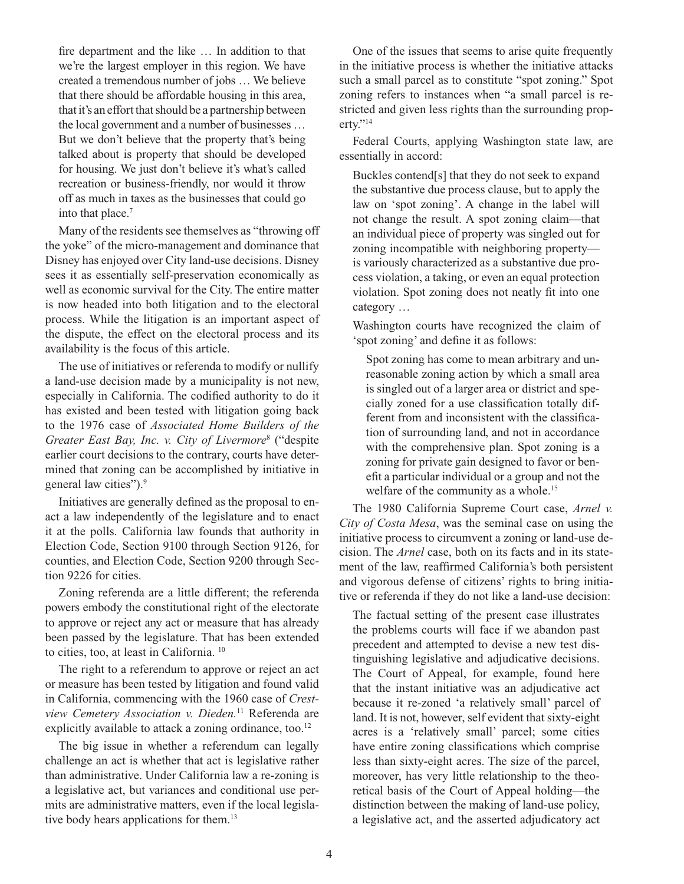fire department and the like … In addition to that we're the largest employer in this region. We have created a tremendous number of jobs … We believe that there should be affordable housing in this area, that it's an effort that should be a partnership between the local government and a number of businesses … But we don't believe that the property that's being talked about is property that should be developed for housing. We just don't believe it's what's called recreation or business-friendly, nor would it throw off as much in taxes as the businesses that could go into that place.<sup>7</sup>

Many of the residents see themselves as "throwing off the yoke" of the micro-management and dominance that Disney has enjoyed over City land-use decisions. Disney sees it as essentially self-preservation economically as well as economic survival for the City. The entire matter is now headed into both litigation and to the electoral process. While the litigation is an important aspect of the dispute, the effect on the electoral process and its availability is the focus of this article.

The use of initiatives or referenda to modify or nullify a land-use decision made by a municipality is not new, especially in California. The codified authority to do it has existed and been tested with litigation going back to the 1976 case of *Associated Home Builders of the Greater East Bay, Inc. v. City of Livermore*<sup>8</sup> ("despite earlier court decisions to the contrary, courts have determined that zoning can be accomplished by initiative in general law cities").<sup>9</sup>

Initiatives are generally defined as the proposal to enact a law independently of the legislature and to enact it at the polls. California law founds that authority in Election Code, Section 9100 through Section 9126, for counties, and Election Code, Section 9200 through Section 9226 for cities.

Zoning referenda are a little different; the referenda powers embody the constitutional right of the electorate to approve or reject any act or measure that has already been passed by the legislature. That has been extended to cities, too, at least in California.<sup>10</sup>

The right to a referendum to approve or reject an act or measure has been tested by litigation and found valid in California, commencing with the 1960 case of *Crestview Cemetery Association v. Dieden.*11 Referenda are explicitly available to attack a zoning ordinance, too.<sup>12</sup>

The big issue in whether a referendum can legally challenge an act is whether that act is legislative rather than administrative. Under California law a re-zoning is a legislative act, but variances and conditional use permits are administrative matters, even if the local legislative body hears applications for them.<sup>13</sup>

One of the issues that seems to arise quite frequently in the initiative process is whether the initiative attacks such a small parcel as to constitute "spot zoning." Spot zoning refers to instances when "a small parcel is restricted and given less rights than the surrounding property."<sup>14</sup>

Federal Courts, applying Washington state law, are essentially in accord:

Buckles contend[s] that they do not seek to expand the substantive due process clause, but to apply the law on 'spot zoning'. A change in the label will not change the result. A spot zoning claim—that an individual piece of property was singled out for zoning incompatible with neighboring property is variously characterized as a substantive due process violation, a taking, or even an equal protection violation. Spot zoning does not neatly fit into one category …

Washington courts have recognized the claim of 'spot zoning' and define it as follows:

Spot zoning has come to mean arbitrary and unreasonable zoning action by which a small area is singled out of a larger area or district and specially zoned for a use classification totally different from and inconsistent with the classification of surrounding land, and not in accordance with the comprehensive plan. Spot zoning is a zoning for private gain designed to favor or benefit a particular individual or a group and not the welfare of the community as a whole.<sup>15</sup>

The 1980 California Supreme Court case, *Arnel v. City of Costa Mesa*, was the seminal case on using the initiative process to circumvent a zoning or land-use decision. The *Arnel* case, both on its facts and in its statement of the law, reaffirmed California's both persistent and vigorous defense of citizens' rights to bring initiative or referenda if they do not like a land-use decision:

The factual setting of the present case illustrates the problems courts will face if we abandon past precedent and attempted to devise a new test distinguishing legislative and adjudicative decisions. The Court of Appeal, for example, found here that the instant initiative was an adjudicative act because it re-zoned 'a relatively small' parcel of land. It is not, however, self evident that sixty-eight acres is a 'relatively small' parcel; some cities have entire zoning classifications which comprise less than sixty-eight acres. The size of the parcel, moreover, has very little relationship to the theoretical basis of the Court of Appeal holding—the distinction between the making of land-use policy, a legislative act, and the asserted adjudicatory act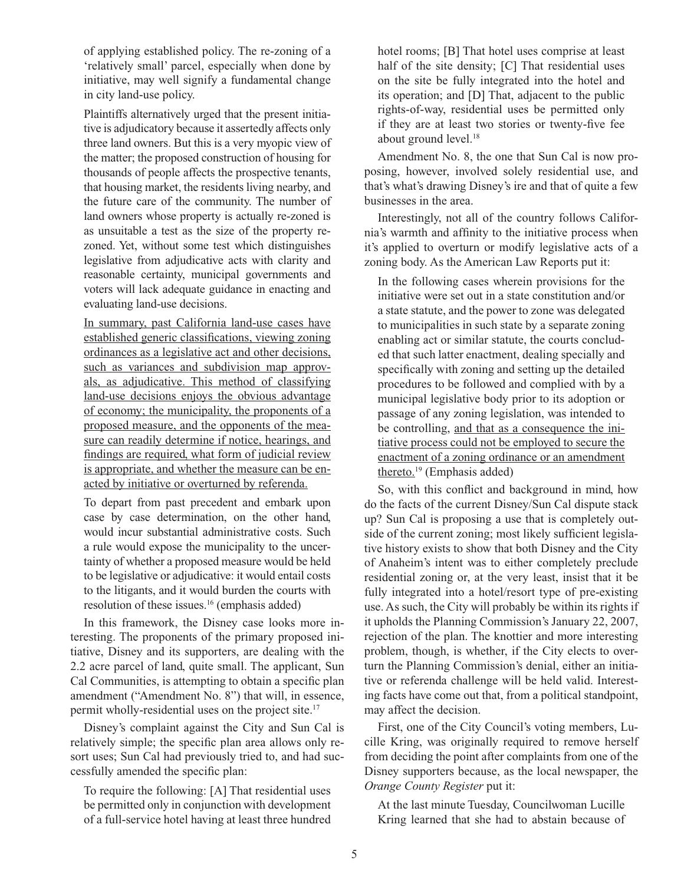of applying established policy. The re-zoning of a 'relatively small' parcel, especially when done by initiative, may well signify a fundamental change in city land-use policy.

Plaintiffs alternatively urged that the present initiative is adjudicatory because it assertedly affects only three land owners. But this is a very myopic view of the matter; the proposed construction of housing for thousands of people affects the prospective tenants, that housing market, the residents living nearby, and the future care of the community. The number of land owners whose property is actually re-zoned is as unsuitable a test as the size of the property rezoned. Yet, without some test which distinguishes legislative from adjudicative acts with clarity and reasonable certainty, municipal governments and voters will lack adequate guidance in enacting and evaluating land-use decisions.

In summary, past California land-use cases have established generic classifications, viewing zoning ordinances as a legislative act and other decisions, such as variances and subdivision map approvals, as adjudicative. This method of classifying land-use decisions enjoys the obvious advantage of economy; the municipality, the proponents of a proposed measure, and the opponents of the measure can readily determine if notice, hearings, and findings are required, what form of judicial review is appropriate, and whether the measure can be enacted by initiative or overturned by referenda.

To depart from past precedent and embark upon case by case determination, on the other hand, would incur substantial administrative costs. Such a rule would expose the municipality to the uncertainty of whether a proposed measure would be held to be legislative or adjudicative: it would entail costs to the litigants, and it would burden the courts with resolution of these issues.16 (emphasis added)

In this framework, the Disney case looks more interesting. The proponents of the primary proposed initiative, Disney and its supporters, are dealing with the 2.2 acre parcel of land, quite small. The applicant, Sun Cal Communities, is attempting to obtain a specific plan amendment ("Amendment No. 8") that will, in essence, permit wholly-residential uses on the project site.<sup>17</sup>

Disney's complaint against the City and Sun Cal is relatively simple; the specific plan area allows only resort uses; Sun Cal had previously tried to, and had successfully amended the specific plan:

To require the following: [A] That residential uses be permitted only in conjunction with development of a full-service hotel having at least three hundred hotel rooms; [B] That hotel uses comprise at least half of the site density; [C] That residential uses on the site be fully integrated into the hotel and its operation; and [D] That, adjacent to the public rights-of-way, residential uses be permitted only if they are at least two stories or twenty-five fee about ground level.<sup>18</sup>

Amendment No. 8, the one that Sun Cal is now proposing, however, involved solely residential use, and that's what's drawing Disney's ire and that of quite a few businesses in the area.

Interestingly, not all of the country follows California's warmth and affinity to the initiative process when it's applied to overturn or modify legislative acts of a zoning body. As the American Law Reports put it:

In the following cases wherein provisions for the initiative were set out in a state constitution and/or a state statute, and the power to zone was delegated to municipalities in such state by a separate zoning enabling act or similar statute, the courts concluded that such latter enactment, dealing specially and specifically with zoning and setting up the detailed procedures to be followed and complied with by a municipal legislative body prior to its adoption or passage of any zoning legislation, was intended to be controlling, and that as a consequence the initiative process could not be employed to secure the enactment of a zoning ordinance or an amendment thereto.<sup>19</sup> (Emphasis added)

So, with this conflict and background in mind, how do the facts of the current Disney/Sun Cal dispute stack up? Sun Cal is proposing a use that is completely outside of the current zoning; most likely sufficient legislative history exists to show that both Disney and the City of Anaheim's intent was to either completely preclude residential zoning or, at the very least, insist that it be fully integrated into a hotel/resort type of pre-existing use. As such, the City will probably be within its rights if it upholds the Planning Commission's January 22, 2007, rejection of the plan. The knottier and more interesting problem, though, is whether, if the City elects to overturn the Planning Commission's denial, either an initiative or referenda challenge will be held valid. Interesting facts have come out that, from a political standpoint, may affect the decision.

First, one of the City Council's voting members, Lucille Kring, was originally required to remove herself from deciding the point after complaints from one of the Disney supporters because, as the local newspaper, the *Orange County Register* put it:

At the last minute Tuesday, Councilwoman Lucille Kring learned that she had to abstain because of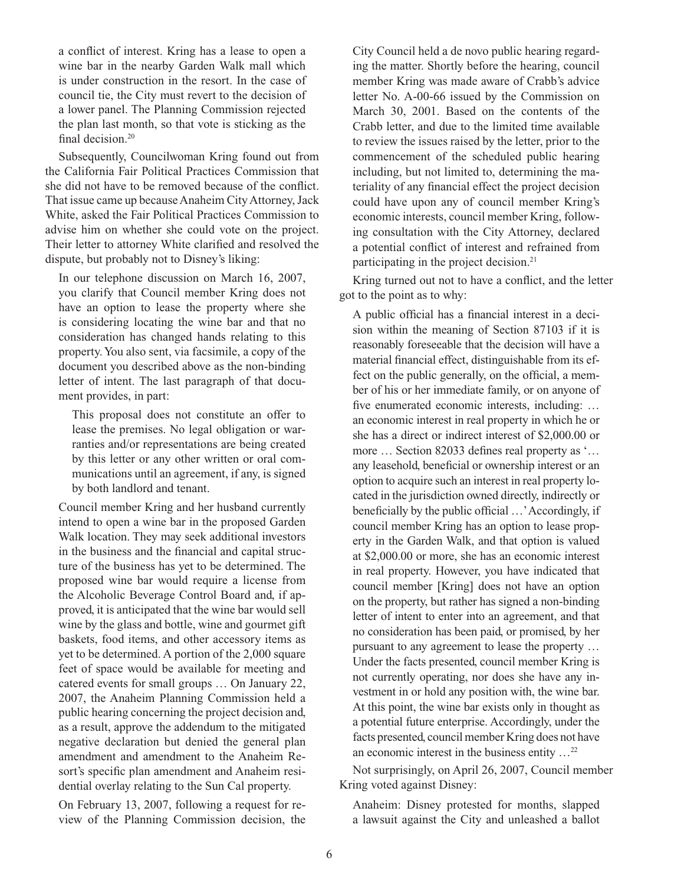a conflict of interest. Kring has a lease to open a wine bar in the nearby Garden Walk mall which is under construction in the resort. In the case of council tie, the City must revert to the decision of a lower panel. The Planning Commission rejected the plan last month, so that vote is sticking as the final decision.<sup>20</sup>

Subsequently, Councilwoman Kring found out from the California Fair Political Practices Commission that she did not have to be removed because of the conflict. That issue came up because Anaheim City Attorney, Jack White, asked the Fair Political Practices Commission to advise him on whether she could vote on the project. Their letter to attorney White clarified and resolved the dispute, but probably not to Disney's liking:

In our telephone discussion on March 16, 2007, you clarify that Council member Kring does not have an option to lease the property where she is considering locating the wine bar and that no consideration has changed hands relating to this property. You also sent, via facsimile, a copy of the document you described above as the non-binding letter of intent. The last paragraph of that document provides, in part:

This proposal does not constitute an offer to lease the premises. No legal obligation or warranties and/or representations are being created by this letter or any other written or oral communications until an agreement, if any, is signed by both landlord and tenant.

Council member Kring and her husband currently intend to open a wine bar in the proposed Garden Walk location. They may seek additional investors in the business and the financial and capital structure of the business has yet to be determined. The proposed wine bar would require a license from the Alcoholic Beverage Control Board and, if approved, it is anticipated that the wine bar would sell wine by the glass and bottle, wine and gourmet gift baskets, food items, and other accessory items as yet to be determined. A portion of the 2,000 square feet of space would be available for meeting and catered events for small groups … On January 22, 2007, the Anaheim Planning Commission held a public hearing concerning the project decision and, as a result, approve the addendum to the mitigated negative declaration but denied the general plan amendment and amendment to the Anaheim Resort's specific plan amendment and Anaheim residential overlay relating to the Sun Cal property.

On February 13, 2007, following a request for review of the Planning Commission decision, the City Council held a de novo public hearing regarding the matter. Shortly before the hearing, council member Kring was made aware of Crabb's advice letter No. A-00-66 issued by the Commission on March 30, 2001. Based on the contents of the Crabb letter, and due to the limited time available to review the issues raised by the letter, prior to the commencement of the scheduled public hearing including, but not limited to, determining the materiality of any financial effect the project decision could have upon any of council member Kring's economic interests, council member Kring, following consultation with the City Attorney, declared a potential conflict of interest and refrained from participating in the project decision.<sup>21</sup>

Kring turned out not to have a conflict, and the letter got to the point as to why:

A public official has a financial interest in a decision within the meaning of Section 87103 if it is reasonably foreseeable that the decision will have a material financial effect, distinguishable from its effect on the public generally, on the official, a member of his or her immediate family, or on anyone of five enumerated economic interests, including: … an economic interest in real property in which he or she has a direct or indirect interest of \$2,000.00 or more … Section 82033 defines real property as '… any leasehold, beneficial or ownership interest or an option to acquire such an interest in real property located in the jurisdiction owned directly, indirectly or beneficially by the public official …' Accordingly, if council member Kring has an option to lease property in the Garden Walk, and that option is valued at \$2,000.00 or more, she has an economic interest in real property. However, you have indicated that council member [Kring] does not have an option on the property, but rather has signed a non-binding letter of intent to enter into an agreement, and that no consideration has been paid, or promised, by her pursuant to any agreement to lease the property … Under the facts presented, council member Kring is not currently operating, nor does she have any investment in or hold any position with, the wine bar. At this point, the wine bar exists only in thought as a potential future enterprise. Accordingly, under the facts presented, council member Kring does not have an economic interest in the business entity …22

Not surprisingly, on April 26, 2007, Council member Kring voted against Disney:

Anaheim: Disney protested for months, slapped a lawsuit against the City and unleashed a ballot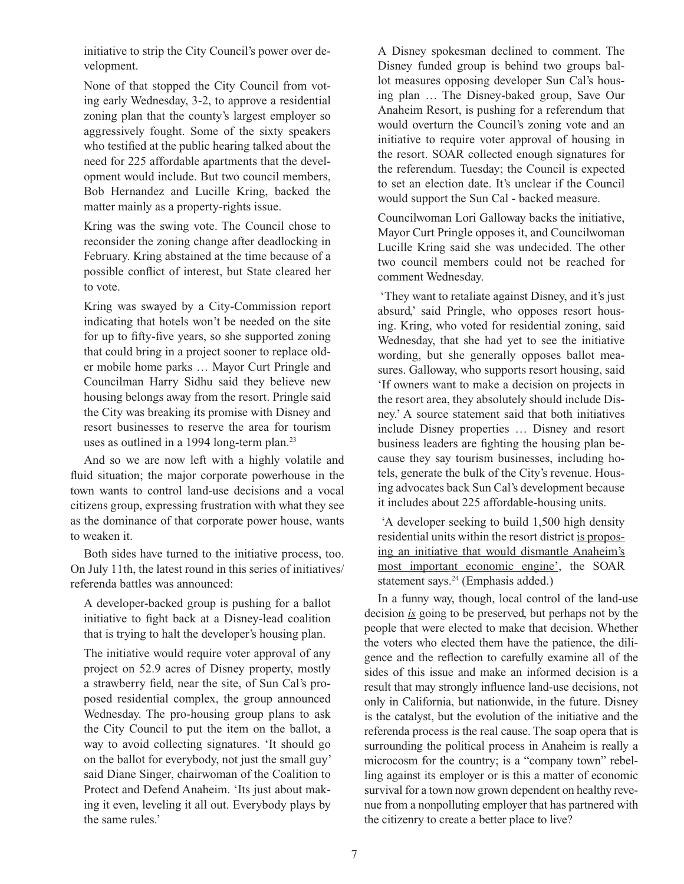initiative to strip the City Council's power over development.

None of that stopped the City Council from voting early Wednesday, 3-2, to approve a residential zoning plan that the county's largest employer so aggressively fought. Some of the sixty speakers who testified at the public hearing talked about the need for 225 affordable apartments that the development would include. But two council members, Bob Hernandez and Lucille Kring, backed the matter mainly as a property-rights issue.

Kring was the swing vote. The Council chose to reconsider the zoning change after deadlocking in February. Kring abstained at the time because of a possible conflict of interest, but State cleared her to vote.

Kring was swayed by a City-Commission report indicating that hotels won't be needed on the site for up to fifty-five years, so she supported zoning that could bring in a project sooner to replace older mobile home parks … Mayor Curt Pringle and Councilman Harry Sidhu said they believe new housing belongs away from the resort. Pringle said the City was breaking its promise with Disney and resort businesses to reserve the area for tourism uses as outlined in a 1994 long-term plan.<sup>23</sup>

And so we are now left with a highly volatile and fluid situation; the major corporate powerhouse in the town wants to control land-use decisions and a vocal citizens group, expressing frustration with what they see as the dominance of that corporate power house, wants to weaken it.

Both sides have turned to the initiative process, too. On July 11th, the latest round in this series of initiatives/ referenda battles was announced:

A developer-backed group is pushing for a ballot initiative to fight back at a Disney-lead coalition that is trying to halt the developer's housing plan.

The initiative would require voter approval of any project on 52.9 acres of Disney property, mostly a strawberry field, near the site, of Sun Cal's proposed residential complex, the group announced Wednesday. The pro-housing group plans to ask the City Council to put the item on the ballot, a way to avoid collecting signatures. 'It should go on the ballot for everybody, not just the small guy' said Diane Singer, chairwoman of the Coalition to Protect and Defend Anaheim. 'Its just about making it even, leveling it all out. Everybody plays by the same rules.'

A Disney spokesman declined to comment. The Disney funded group is behind two groups ballot measures opposing developer Sun Cal's housing plan … The Disney-baked group, Save Our Anaheim Resort, is pushing for a referendum that would overturn the Council's zoning vote and an initiative to require voter approval of housing in the resort. SOAR collected enough signatures for the referendum. Tuesday; the Council is expected to set an election date. It's unclear if the Council would support the Sun Cal - backed measure.

Councilwoman Lori Galloway backs the initiative, Mayor Curt Pringle opposes it, and Councilwoman Lucille Kring said she was undecided. The other two council members could not be reached for comment Wednesday.

 'They want to retaliate against Disney, and it's just absurd,' said Pringle, who opposes resort housing. Kring, who voted for residential zoning, said Wednesday, that she had yet to see the initiative wording, but she generally opposes ballot measures. Galloway, who supports resort housing, said 'If owners want to make a decision on projects in the resort area, they absolutely should include Disney.' A source statement said that both initiatives include Disney properties … Disney and resort business leaders are fighting the housing plan because they say tourism businesses, including hotels, generate the bulk of the City's revenue. Housing advocates back Sun Cal's development because it includes about 225 affordable-housing units.

 'A developer seeking to build 1,500 high density residential units within the resort district is proposing an initiative that would dismantle Anaheim's most important economic engine', the SOAR statement says.<sup>24</sup> (Emphasis added.)

In a funny way, though, local control of the land-use decision *is* going to be preserved, but perhaps not by the people that were elected to make that decision. Whether the voters who elected them have the patience, the diligence and the reflection to carefully examine all of the sides of this issue and make an informed decision is a result that may strongly influence land-use decisions, not only in California, but nationwide, in the future. Disney is the catalyst, but the evolution of the initiative and the referenda process is the real cause. The soap opera that is surrounding the political process in Anaheim is really a microcosm for the country; is a "company town" rebelling against its employer or is this a matter of economic survival for a town now grown dependent on healthy revenue from a nonpolluting employer that has partnered with the citizenry to create a better place to live?